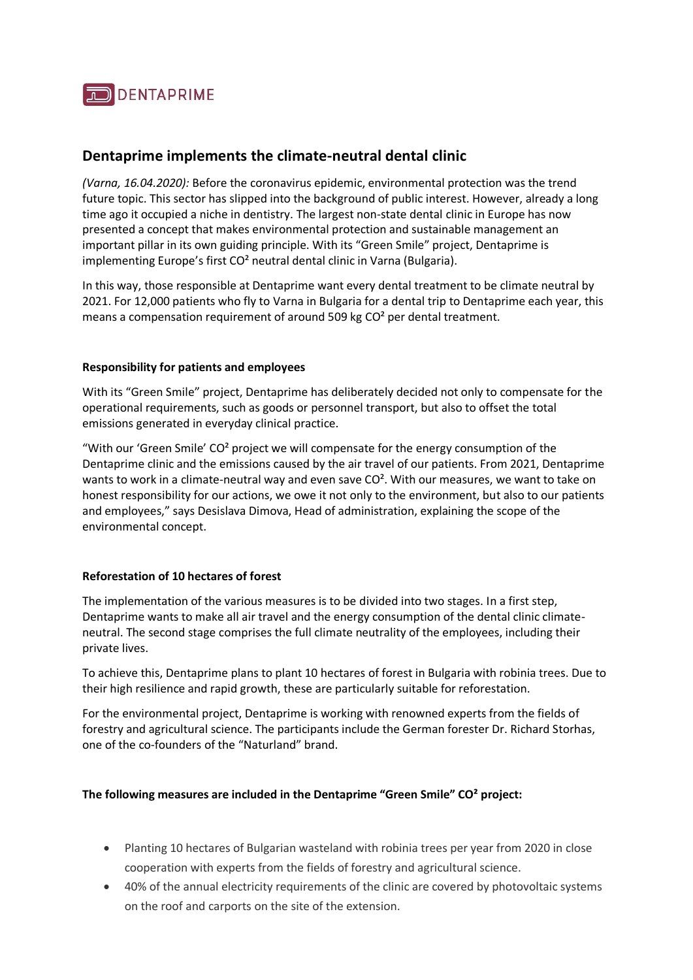

## **Dentaprime implements the climate-neutral dental clinic**

*(Varna, 16.04.2020):* Before the coronavirus epidemic, environmental protection was the trend future topic. This sector has slipped into the background of public interest. However, already a long time ago it occupied a niche in dentistry. The largest non-state dental clinic in Europe has now presented a concept that makes environmental protection and sustainable management an important pillar in its own guiding principle. With its "Green Smile" project, Dentaprime is implementing Europe's first CO² neutral dental clinic in Varna (Bulgaria).

In this way, those responsible at Dentaprime want every dental treatment to be climate neutral by 2021. For 12,000 patients who fly to Varna in Bulgaria for a dental trip to Dentaprime each year, this means a compensation requirement of around 509 kg CO² per dental treatment.

## **Responsibility for patients and employees**

With its "Green Smile" project, Dentaprime has deliberately decided not only to compensate for the operational requirements, such as goods or personnel transport, but also to offset the total emissions generated in everyday clinical practice.

"With our 'Green Smile' CO² project we will compensate for the energy consumption of the Dentaprime clinic and the emissions caused by the air travel of our patients. From 2021, Dentaprime wants to work in a climate-neutral way and even save CO². With our measures, we want to take on honest responsibility for our actions, we owe it not only to the environment, but also to our patients and employees," says Desislava Dimova, Head of administration, explaining the scope of the environmental concept.

## **Reforestation of 10 hectares of forest**

The implementation of the various measures is to be divided into two stages. In a first step, Dentaprime wants to make all air travel and the energy consumption of the dental clinic climateneutral. The second stage comprises the full climate neutrality of the employees, including their private lives.

To achieve this, Dentaprime plans to plant 10 hectares of forest in Bulgaria with robinia trees. Due to their high resilience and rapid growth, these are particularly suitable for reforestation.

For the environmental project, Dentaprime is working with renowned experts from the fields of forestry and agricultural science. The participants include the German forester Dr. Richard Storhas, one of the co-founders of the "Naturland" brand.

## **The following measures are included in the Dentaprime "Green Smile" CO² project:**

- Planting 10 hectares of Bulgarian wasteland with robinia trees per year from 2020 in close cooperation with experts from the fields of forestry and agricultural science.
- 40% of the annual electricity requirements of the clinic are covered by photovoltaic systems on the roof and carports on the site of the extension.